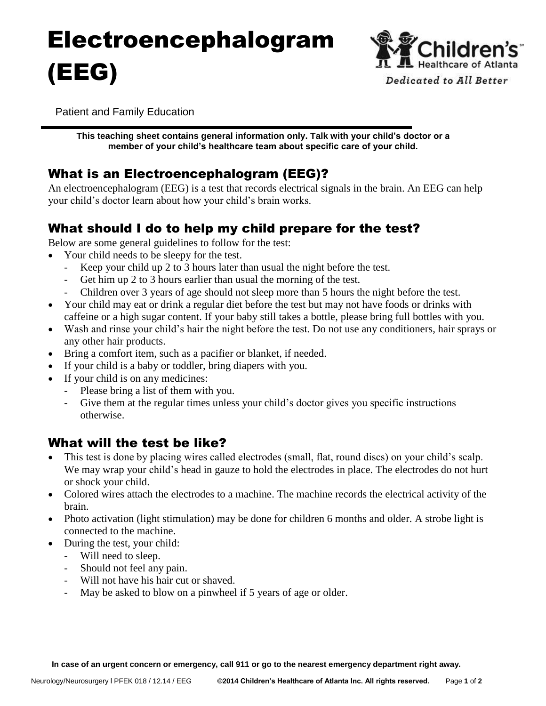# Electroencephalogram (EEG)



Patient and Family Education

**This teaching sheet contains general information only. Talk with your child's doctor or a member of your child's healthcare team about specific care of your child.**

# What is an Electroencephalogram (EEG)?

An electroencephalogram (EEG) is a test that records electrical signals in the brain. An EEG can help your child's doctor learn about how your child's brain works.

# What should I do to help my child prepare for the test?

Below are some general guidelines to follow for the test:

- Your child needs to be sleepy for the test.
	- Keep your child up 2 to 3 hours later than usual the night before the test.
	- Get him up 2 to 3 hours earlier than usual the morning of the test.
	- Children over 3 years of age should not sleep more than 5 hours the night before the test.
- Your child may eat or drink a regular diet before the test but may not have foods or drinks with caffeine or a high sugar content. If your baby still takes a bottle, please bring full bottles with you.
- Wash and rinse your child's hair the night before the test. Do not use any conditioners, hair sprays or any other hair products.
- Bring a comfort item, such as a pacifier or blanket, if needed.
- If your child is a baby or toddler, bring diapers with you.
- If your child is on any medicines:
	- Please bring a list of them with you.
	- Give them at the regular times unless your child's doctor gives you specific instructions otherwise.

### What will the test be like?

- This test is done by placing wires called electrodes (small, flat, round discs) on your child's scalp. We may wrap your child's head in gauze to hold the electrodes in place. The electrodes do not hurt or shock your child.
- Colored wires attach the electrodes to a machine. The machine records the electrical activity of the brain.
- Photo activation (light stimulation) may be done for children 6 months and older. A strobe light is connected to the machine.
- During the test, your child:
	- Will need to sleep.
	- Should not feel any pain.
	- Will not have his hair cut or shaved.
	- May be asked to blow on a pinwheel if 5 years of age or older.

 **In case of an urgent concern or emergency, call 911 or go to the nearest emergency department right away.**